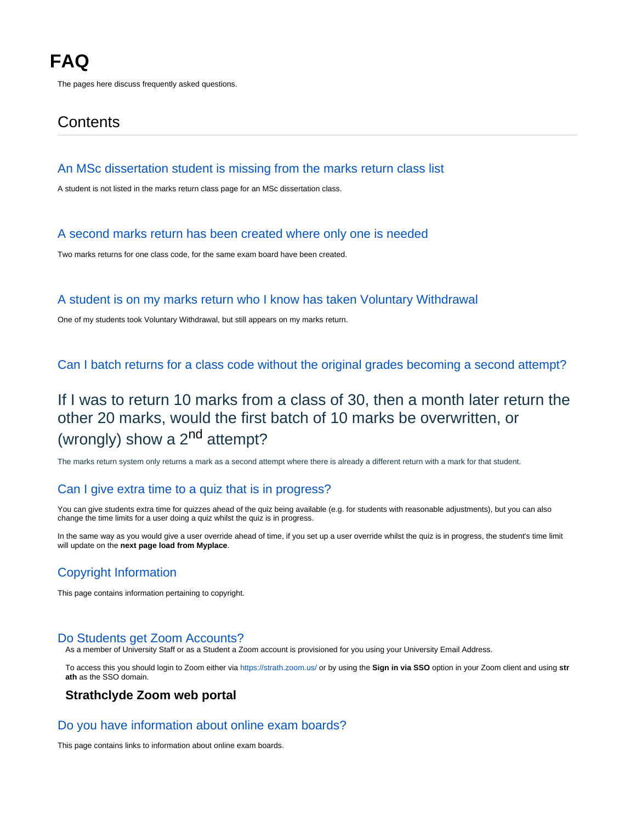The pages here discuss frequently asked questions.

# **Contents**

#### [An MSc dissertation student is missing from the marks return class list](https://wiki.lte.strath.ac.uk/display/MS/An+MSc+dissertation+student+is+missing+from+the+marks+return+class+list)

A student is not listed in the marks return class page for an MSc dissertation class.

### [A second marks return has been created where only one is needed](https://wiki.lte.strath.ac.uk/display/MS/A+second+marks+return+has+been+created+where+only+one+is+needed)

Two marks returns for one class code, for the same exam board have been created.

#### [A student is on my marks return who I know has taken Voluntary Withdrawal](https://wiki.lte.strath.ac.uk/display/MS/A+student+is+on+my+marks+return+who+I+know+has+taken+Voluntary+Withdrawal)

One of my students took Voluntary Withdrawal, but still appears on my marks return.

[Can I batch returns for a class code without the original grades becoming a second attempt?](https://wiki.lte.strath.ac.uk/pages/viewpage.action?pageId=173539340)

# If I was to return 10 marks from a class of 30, then a month later return the other 20 marks, would the first batch of 10 marks be overwritten, or (wrongly) show a  $2^{nd}$  attempt?

The marks return system only returns a mark as a second attempt where there is already a different return with a mark for that student.

# [Can I give extra time to a quiz that is in progress?](https://wiki.lte.strath.ac.uk/pages/viewpage.action?pageId=122322996)

You can give students extra time for quizzes ahead of the quiz being available (e.g. for students with reasonable adjustments), but you can also change the time limits for a user doing a quiz whilst the quiz is in progress.

In the same way as you would give a user override ahead of time, if you set up a user override whilst the quiz is in progress, the student's time limit will update on the **next page load from Myplace**.

# [Copyright Information](https://wiki.lte.strath.ac.uk/display/MS/Copyright+Information)

This page contains information pertaining to copyright.

#### [Do Students get Zoom Accounts?](https://wiki.lte.strath.ac.uk/pages/viewpage.action?pageId=157319172)

As a member of University Staff or as a Student a Zoom account is provisioned for you using your University Email Address.

To access this you should login to Zoom either via<https://strath.zoom.us/> or by using the **Sign in via SSO** option in your Zoom client and using **str ath** as the SSO domain.

## **Strathclyde Zoom web portal**

#### [Do you have information about online exam boards?](https://wiki.lte.strath.ac.uk/pages/viewpage.action?pageId=123600904)

This page contains links to information about online exam boards.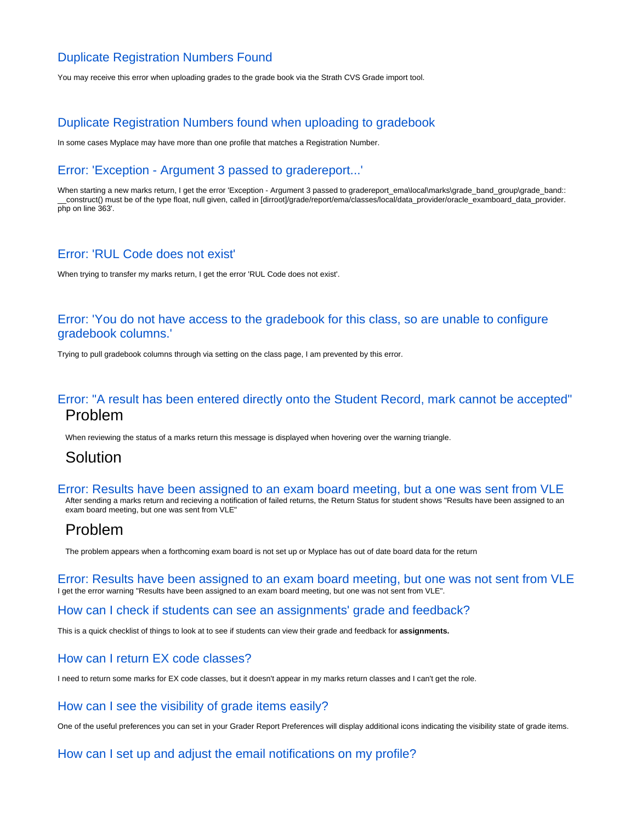# [Duplicate Registration Numbers Found](https://wiki.lte.strath.ac.uk/display/MS/Duplicate+Registration+Numbers+Found)

You may receive this error when uploading grades to the grade book via the Strath CVS Grade import tool.

# [Duplicate Registration Numbers found when uploading to gradebook](https://wiki.lte.strath.ac.uk/display/MS/Duplicate+Registration+Numbers+found+when+uploading+to+gradebook)

In some cases Myplace may have more than one profile that matches a Registration Number.

# [Error: 'Exception - Argument 3 passed to gradereport...'](https://wiki.lte.strath.ac.uk/pages/viewpage.action?pageId=99647534)

When starting a new marks return, I get the error 'Exception - Argument 3 passed to gradereport\_ema\local\marks\grade\_band\_group\grade\_band:: \_\_construct() must be of the type float, null given, called in [dirroot]/grade/report/ema/classes/local/data\_provider/oracle\_examboard\_data\_provider. php on line 363'.

## [Error: 'RUL Code does not exist'](https://wiki.lte.strath.ac.uk/pages/viewpage.action?pageId=99647587)

When trying to transfer my marks return, I get the error 'RUL Code does not exist'.

## [Error: 'You do not have access to the gradebook for this class, so are unable to configure](https://wiki.lte.strath.ac.uk/pages/viewpage.action?pageId=99647589)  [gradebook columns.'](https://wiki.lte.strath.ac.uk/pages/viewpage.action?pageId=99647589)

Trying to pull gradebook columns through via setting on the class page, I am prevented by this error.

# [Error: "A result has been entered directly onto the Student Record, mark cannot be accepted"](https://wiki.lte.strath.ac.uk/pages/viewpage.action?pageId=218890242) Problem

When reviewing the status of a marks return this message is displayed when hovering over the warning triangle.

# Solution

[Error: Results have been assigned to an exam board meeting, but a one was sent from VLE](https://wiki.lte.strath.ac.uk/display/MS/Error%3A+Results+have+been+assigned+to+an+exam+board+meeting%2C+but+a+one+was+sent+from+VLE) After sending a marks return and recieving a notification of failed returns, the Return Status for student shows "Results have been assigned to an

exam board meeting, but one was sent from VLE"

# Problem

The problem appears when a forthcoming exam board is not set up or Myplace has out of date board data for the return

[Error: Results have been assigned to an exam board meeting, but one was not sent from VLE](https://wiki.lte.strath.ac.uk/display/MS/Error%3A+Results+have+been+assigned+to+an+exam+board+meeting%2C+but+one+was+not+sent+from+VLE) I get the error warning "Results have been assigned to an exam board meeting, but one was not sent from VLE".

#### [How can I check if students can see an assignments' grade and feedback?](https://wiki.lte.strath.ac.uk/pages/viewpage.action?pageId=90079311)

This is a quick checklist of things to look at to see if students can view their grade and feedback for **assignments.**

# [How can I return EX code classes?](https://wiki.lte.strath.ac.uk/pages/viewpage.action?pageId=103972921)

I need to return some marks for EX code classes, but it doesn't appear in my marks return classes and I can't get the role.

# [How can I see the visibility of grade items easily?](https://wiki.lte.strath.ac.uk/pages/viewpage.action?pageId=97550358)

One of the useful preferences you can set in your Grader Report Preferences will display additional icons indicating the visibility state of grade items.

### [How can I set up and adjust the email notifications on my profile?](https://wiki.lte.strath.ac.uk/pages/viewpage.action?pageId=3014836)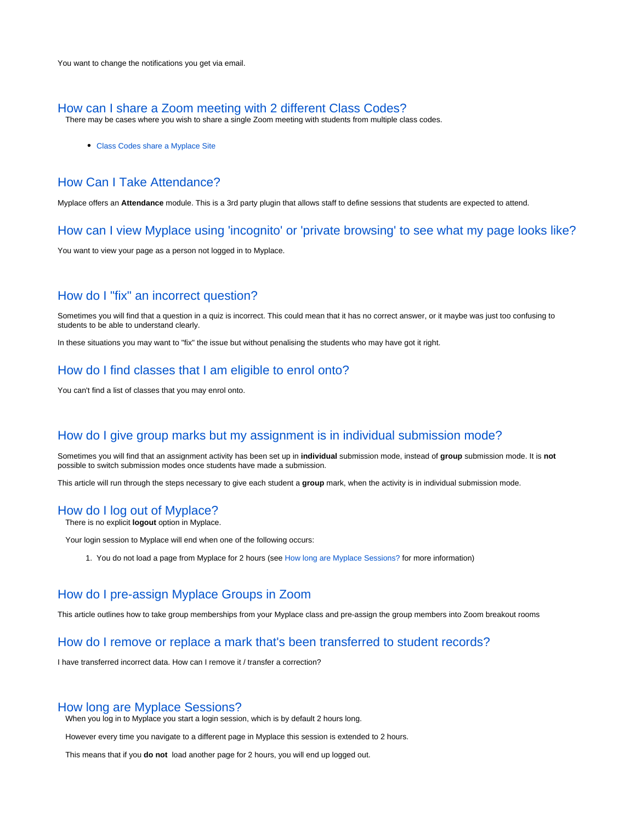#### [How can I share a Zoom meeting with 2 different Class Codes?](https://wiki.lte.strath.ac.uk/pages/viewpage.action?pageId=154238983)

There may be cases where you wish to share a single Zoom meeting with students from multiple class codes.

Class Codes share a Myplace Site

## [How Can I Take Attendance?](https://wiki.lte.strath.ac.uk/pages/viewpage.action?pageId=154238986)

Myplace offers an **Attendance** module. This is a 3rd party plugin that allows staff to define sessions that students are expected to attend.

#### [How can I view Myplace using 'incognito' or 'private browsing' to see what my page looks like?](https://wiki.lte.strath.ac.uk/pages/viewpage.action?pageId=14452478)

You want to view your page as a person not logged in to Myplace.

### [How do I "fix" an incorrect question?](https://wiki.lte.strath.ac.uk/pages/viewpage.action?pageId=124289037)

Sometimes you will find that a question in a quiz is incorrect. This could mean that it has no correct answer, or it maybe was just too confusing to students to be able to understand clearly.

In these situations you may want to "fix" the issue but without penalising the students who may have got it right.

### [How do I find classes that I am eligible to enrol onto?](https://wiki.lte.strath.ac.uk/pages/viewpage.action?pageId=2621511)

You can't find a list of classes that you may enrol onto.

#### [How do I give group marks but my assignment is in individual submission mode?](https://wiki.lte.strath.ac.uk/pages/viewpage.action?pageId=86736904)

Sometimes you will find that an assignment activity has been set up in **individual** submission mode, instead of **group** submission mode. It is **not** possible to switch submission modes once students have made a submission.

This article will run through the steps necessary to give each student a **group** mark, when the activity is in individual submission mode.

#### [How do I log out of Myplace?](https://wiki.lte.strath.ac.uk/pages/viewpage.action?pageId=90079304)

There is no explicit **logout** option in Myplace.

Your login session to Myplace will end when one of the following occurs:

1. You do not load a page from Myplace for 2 hours (see [How long are Myplace Sessions?](https://wiki.lte.strath.ac.uk/pages/viewpage.action?pageId=90079302) for more information)

## [How do I pre-assign Myplace Groups in Zoom](https://wiki.lte.strath.ac.uk/display/MS/How+do+I+pre-assign+Myplace+Groups+in+Zoom)

This article outlines how to take group memberships from your Myplace class and pre-assign the group members into Zoom breakout rooms

#### [How do I remove or replace a mark that's been transferred to student records?](https://wiki.lte.strath.ac.uk/pages/viewpage.action?pageId=99647594)

I have transferred incorrect data. How can I remove it / transfer a correction?

#### [How long are Myplace Sessions?](https://wiki.lte.strath.ac.uk/pages/viewpage.action?pageId=90079302)

When you log in to Myplace you start a login session, which is by default 2 hours long.

However every time you navigate to a different page in Myplace this session is extended to 2 hours.

This means that if you **do not** load another page for 2 hours, you will end up logged out.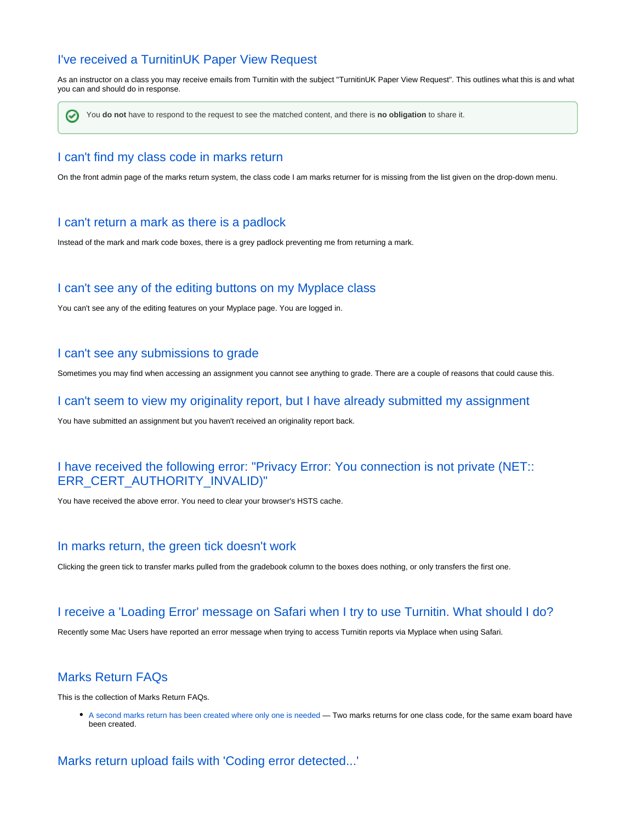# [I've received a TurnitinUK Paper View Request](https://wiki.lte.strath.ac.uk/display/MS/I%27ve+received+a+TurnitinUK+Paper+View+Request)

As an instructor on a class you may receive emails from Turnitin with the subject "TurnitinUK Paper View Request". This outlines what this is and what you can and should do in response.

の You **do not** have to respond to the request to see the matched content, and there is **no obligation** to share it.

### [I can't find my class code in marks return](https://wiki.lte.strath.ac.uk/display/MS/I+can%27t+find+my+class+code+in+marks+return)

On the front admin page of the marks return system, the class code I am marks returner for is missing from the list given on the drop-down menu.

#### [I can't return a mark as there is a padlock](https://wiki.lte.strath.ac.uk/display/MS/I+can%27t+return+a+mark+as+there+is+a+padlock)

Instead of the mark and mark code boxes, there is a grey padlock preventing me from returning a mark.

### [I can't see any of the editing buttons on my Myplace class](https://wiki.lte.strath.ac.uk/display/MS/I+can%27t+see+any+of+the+editing+buttons+on+my+Myplace+class)

You can't see any of the editing features on your Myplace page. You are logged in.

#### [I can't see any submissions to grade](https://wiki.lte.strath.ac.uk/display/MS/I+can%27t+see+any+submissions+to+grade)

Sometimes you may find when accessing an assignment you cannot see anything to grade. There are a couple of reasons that could cause this.

#### [I can't seem to view my originality report, but I have already submitted my assignment](https://wiki.lte.strath.ac.uk/display/MS/I+can%27t+seem+to+view+my+originality+report%2C+but+I+have+already+submitted+my+assignment)

You have submitted an assignment but you haven't received an originality report back.

## [I have received the following error: "Privacy Error: You connection is not private \(NET::](https://wiki.lte.strath.ac.uk/pages/viewpage.action?pageId=14451964) [ERR\\_CERT\\_AUTHORITY\\_INVALID\)"](https://wiki.lte.strath.ac.uk/pages/viewpage.action?pageId=14451964)

You have received the above error. You need to clear your browser's HSTS cache.

#### [In marks return, the green tick doesn't work](https://wiki.lte.strath.ac.uk/display/MS/In+marks+return%2C+the+green+tick+doesn%27t+work)

Clicking the green tick to transfer marks pulled from the gradebook column to the boxes does nothing, or only transfers the first one.

#### [I receive a 'Loading Error' message on Safari when I try to use Turnitin. What should I do?](https://wiki.lte.strath.ac.uk/pages/viewpage.action?pageId=9601645)

Recently some Mac Users have reported an error message when trying to access Turnitin reports via Myplace when using Safari.

# [Marks Return FAQs](https://wiki.lte.strath.ac.uk/display/MS/Marks+Return+FAQs)

This is the collection of Marks Return FAQs.

[A second marks return has been created where only one is needed](https://wiki.lte.strath.ac.uk/display/MS/A+second+marks+return+has+been+created+where+only+one+is+needed) — Two marks returns for one class code, for the same exam board have been created.

### [Marks return upload fails with 'Coding error detected...'](https://wiki.lte.strath.ac.uk/pages/viewpage.action?pageId=99647570)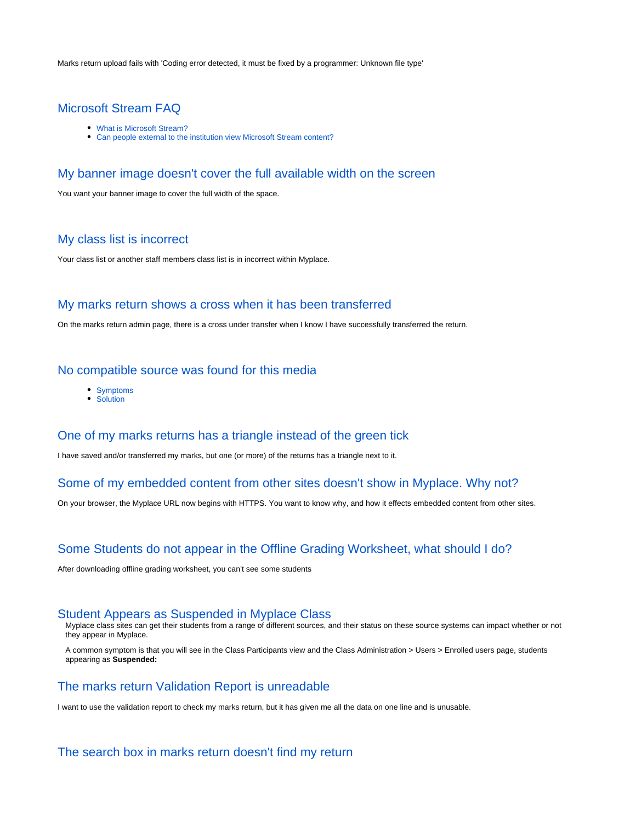Marks return upload fails with 'Coding error detected, it must be fixed by a programmer: Unknown file type'

## [Microsoft Stream FAQ](https://wiki.lte.strath.ac.uk/display/MS/Microsoft+Stream+FAQ)

- What is Microsoft Stream?
- Can people external to the institution view Microsoft Stream content?

#### [My banner image doesn't cover the full available width on the screen](https://wiki.lte.strath.ac.uk/display/MS/My+banner+image+doesn%27t+cover+the+full+available+width+on+the+screen)

You want your banner image to cover the full width of the space.

## [My class list is incorrect](https://wiki.lte.strath.ac.uk/display/MS/My+class+list+is+incorrect)

Your class list or another staff members class list is in incorrect within Myplace.

#### [My marks return shows a cross when it has been transferred](https://wiki.lte.strath.ac.uk/display/MS/My+marks+return+shows+a+cross+when+it+has+been+transferred)

On the marks return admin page, there is a cross under transfer when I know I have successfully transferred the return.

#### [No compatible source was found for this media](https://wiki.lte.strath.ac.uk/display/MS/No+compatible+source+was+found+for+this+media)

- Symptoms
- Solution

#### [One of my marks returns has a triangle instead of the green tick](https://wiki.lte.strath.ac.uk/display/MS/One+of+my+marks+returns+has+a+triangle+instead+of+the+green+tick)

I have saved and/or transferred my marks, but one (or more) of the returns has a triangle next to it.

### [Some of my embedded content from other sites doesn't show in Myplace. Why not?](https://wiki.lte.strath.ac.uk/pages/viewpage.action?pageId=14450895)

On your browser, the Myplace URL now begins with HTTPS. You want to know why, and how it effects embedded content from other sites.

### [Some Students do not appear in the Offline Grading Worksheet, what should I do?](https://wiki.lte.strath.ac.uk/pages/viewpage.action?pageId=3015131)

After downloading offline grading worksheet, you can't see some students

#### [Student Appears as Suspended in Myplace Class](https://wiki.lte.strath.ac.uk/display/MS/Student+Appears+as+Suspended+in+Myplace+Class)

Myplace class sites can get their students from a range of different sources, and their status on these source systems can impact whether or not they appear in Myplace.

A common symptom is that you will see in the Class Participants view and the Class Administration > Users > Enrolled users page, students appearing as **Suspended:**

### [The marks return Validation Report is unreadable](https://wiki.lte.strath.ac.uk/display/MS/The+marks+return+Validation+Report+is+unreadable)

I want to use the validation report to check my marks return, but it has given me all the data on one line and is unusable.

# [The search box in marks return doesn't find my return](https://wiki.lte.strath.ac.uk/display/MS/The+search+box+in+marks+return+doesn%27t+find+my+return)